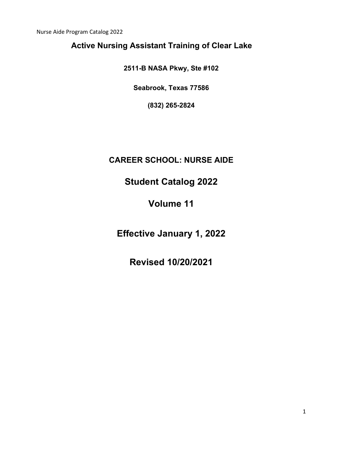Nurse Aide Program Catalog 2022

# **Active Nursing Assistant Training of Clear Lake**

**2511-B NASA Pkwy, Ste #102** 

**Seabrook, Texas 77586** 

**(832) 265-2824** 

### **CAREER SCHOOL: NURSE AIDE**

# **Student Catalog 2022**

# **Volume 11**

**Effective January 1, 2022** 

**Revised 10/20/2021**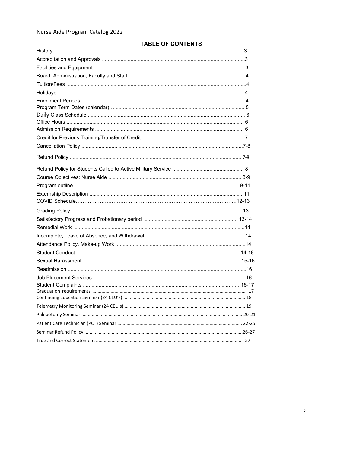### Nurse Aide Program Catalog 2022

### **TABLE OF CONTENTS**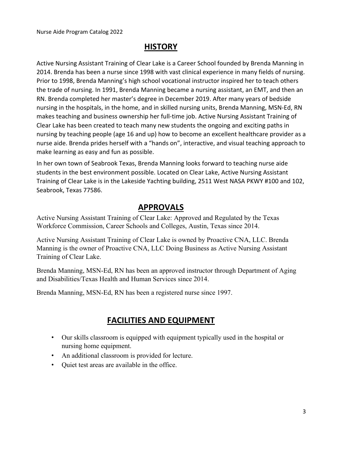### **HISTORY**

Active Nursing Assistant Training of Clear Lake is a Career School founded by Brenda Manning in 2014. Brenda has been a nurse since 1998 with vast clinical experience in many fields of nursing. Prior to 1998, Brenda Manning's high school vocational instructor inspired her to teach others the trade of nursing. In 1991, Brenda Manning became a nursing assistant, an EMT, and then an RN. Brenda completed her master's degree in December 2019. After many years of bedside nursing in the hospitals, in the home, and in skilled nursing units, Brenda Manning, MSN-Ed, RN makes teaching and business ownership her full-time job. Active Nursing Assistant Training of Clear Lake has been created to teach many new students the ongoing and exciting paths in nursing by teaching people (age 16 and up) how to become an excellent healthcare provider as a nurse aide. Brenda prides herself with a "hands on", interactive, and visual teaching approach to make learning as easy and fun as possible.

In her own town of Seabrook Texas, Brenda Manning looks forward to teaching nurse aide students in the best environment possible. Located on Clear Lake, Active Nursing Assistant Training of Clear Lake is in the Lakeside Yachting building, 2511 West NASA PKWY #100 and 102, Seabrook, Texas 77586.

### **APPROVALS**

Active Nursing Assistant Training of Clear Lake: Approved and Regulated by the Texas Workforce Commission, Career Schools and Colleges, Austin, Texas since 2014.

Active Nursing Assistant Training of Clear Lake is owned by Proactive CNA, LLC. Brenda Manning is the owner of Proactive CNA, LLC Doing Business as Active Nursing Assistant Training of Clear Lake.

Brenda Manning, MSN-Ed, RN has been an approved instructor through Department of Aging and Disabilities/Texas Health and Human Services since 2014.

Brenda Manning, MSN-Ed, RN has been a registered nurse since 1997.

### **FACILITIES AND EQUIPMENT**

- Our skills classroom is equipped with equipment typically used in the hospital or nursing home equipment.
- An additional classroom is provided for lecture.
- Quiet test areas are available in the office.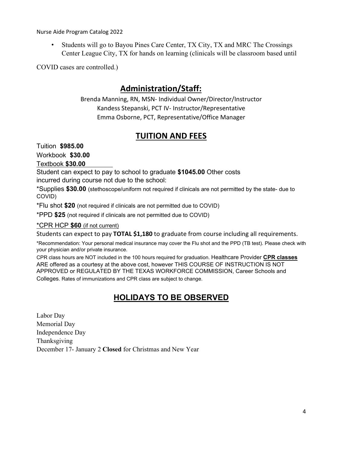Nurse Aide Program Catalog 2022

• Students will go to Bayou Pines Care Center, TX City, TX and MRC The Crossings Center League City, TX for hands on learning (clinicals will be classroom based until

COVID cases are controlled.)

### **Administration/Staff:**

Brenda Manning, RN, MSN- Individual Owner/Director/Instructor Kandess Stepanski, PCT IV- Instructor/Representative Emma Osborne, PCT, Representative/Office Manager

### **TUITION AND FEES**

Tuition **\$985.00** 

Workbook **\$30.00** 

Textbook **\$30.00**

Student can expect to pay to school to graduate **\$1045.00** Other costs incurred during course not due to the school:

\*Supplies **\$30.00** (stethoscope/uniform not required if clinicals are not permitted by the state- due to COVID)

\*Flu shot **\$20** (not required if clinicals are not permitted due to COVID)

\*PPD **\$25** (not required if clinicals are not permitted due to COVID)

\*CPR HCP **\$60** (if not current)

Students can expect to pay **TOTAL \$1,180** to graduate from course including all requirements.

\*Recommendation: Your personal medical insurance may cover the Flu shot and the PPD (TB test). Please check with your physician and/or private insurance.

CPR class hours are NOT included in the 100 hours required for graduation. Healthcare Provider **CPR classes** ARE offered as a courtesy at the above cost, however THIS COURSE OF INSTRUCTION IS NOT APPROVED or REGULATED BY THE TEXAS WORKFORCE COMMISSION, Career Schools and Colleges. Rates of immunizations and CPR class are subject to change.

### **HOLIDAYS TO BE OBSERVED**

Labor Day Memorial Day Independence Day Thanksgiving December 17- January 2 **Closed** for Christmas and New Year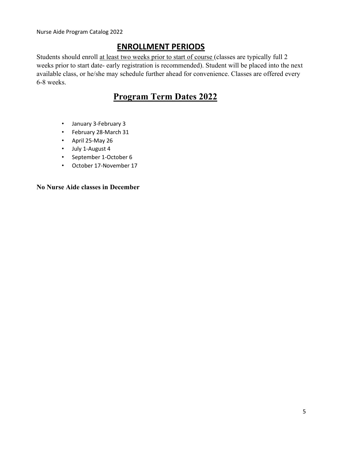### **ENROLLMENT PERIODS**

Students should enroll at least two weeks prior to start of course (classes are typically full 2 weeks prior to start date- early registration is recommended). Student will be placed into the next available class, or he/she may schedule further ahead for convenience. Classes are offered every 6-8 weeks.

# **Program Term Dates 2022**

- January 3-February 3
- February 28-March 31
- April 25-May 26
- July 1-August 4
- September 1-October 6
- October 17-November 17

**No Nurse Aide classes in December**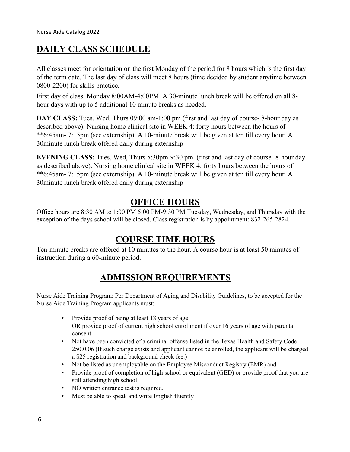# **DAILY CLASS SCHEDULE**

All classes meet for orientation on the first Monday of the period for 8 hours which is the first day of the term date. The last day of class will meet 8 hours (time decided by student anytime between 0800-2200) for skills practice.

First day of class: Monday 8:00AM-4:00PM. A 30-minute lunch break will be offered on all 8 hour days with up to 5 additional 10 minute breaks as needed.

**DAY CLASS:** Tues, Wed, Thurs 09:00 am-1:00 pm (first and last day of course- 8-hour day as described above). Nursing home clinical site in WEEK 4: forty hours between the hours of \*\*6:45am- 7:15pm (see externship). A 10-minute break will be given at ten till every hour. A 30minute lunch break offered daily during externship

**EVENING CLASS:** Tues, Wed, Thurs 5:30pm-9:30 pm. (first and last day of course- 8-hour day as described above). Nursing home clinical site in WEEK 4: forty hours between the hours of \*\*6:45am- 7:15pm (see externship). A 10-minute break will be given at ten till every hour. A 30minute lunch break offered daily during externship

### **OFFICE HOURS**

Office hours are 8:30 AM to 1:00 PM 5:00 PM-9:30 PM Tuesday, Wednesday, and Thursday with the exception of the days school will be closed. Class registration is by appointment: 832-265-2824.

### **COURSE TIME HOURS**

Ten-minute breaks are offered at 10 minutes to the hour. A course hour is at least 50 minutes of instruction during a 60-minute period.

# **ADMISSION REQUIREMENTS**

Nurse Aide Training Program: Per Department of Aging and Disability Guidelines, to be accepted for the Nurse Aide Training Program applicants must:

- Provide proof of being at least 18 years of age OR provide proof of current high school enrollment if over 16 years of age with parental consent
- Not have been convicted of a criminal offense listed in the Texas Health and Safety Code 250.0.06 (If such charge exists and applicant cannot be enrolled, the applicant will be charged a \$25 registration and background check fee.)
- Not be listed as unemployable on the Employee Misconduct Registry (EMR) and
- Provide proof of completion of high school or equivalent (GED) or provide proof that you are still attending high school.
- NO written entrance test is required.
- Must be able to speak and write English fluently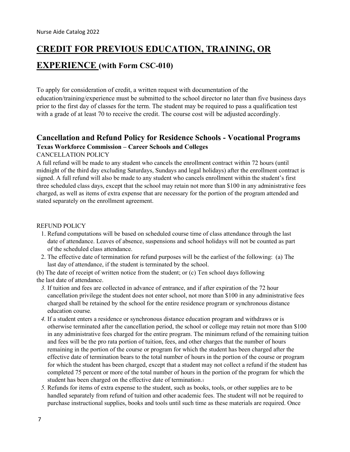# **CREDIT FOR PREVIOUS EDUCATION, TRAINING, OR**

### **EXPERIENCE (with Form CSC-010)**

To apply for consideration of credit, a written request with documentation of the education/training/experience must be submitted to the school director no later than five business days prior to the first day of classes for the term. The student may be required to pass a qualification test with a grade of at least 70 to receive the credit. The course cost will be adjusted accordingly.

### **Cancellation and Refund Policy for Residence Schools - Vocational Programs Texas Workforce Commission – Career Schools and Colleges**

#### CANCELLATION POLICY

A full refund will be made to any student who cancels the enrollment contract within 72 hours (until midnight of the third day excluding Saturdays, Sundays and legal holidays) after the enrollment contract is signed. A full refund will also be made to any student who cancels enrollment within the student's first three scheduled class days, except that the school may retain not more than \$100 in any administrative fees charged, as well as items of extra expense that are necessary for the portion of the program attended and stated separately on the enrollment agreement.

#### REFUND POLICY

- 1. Refund computations will be based on scheduled course time of class attendance through the last date of attendance. Leaves of absence, suspensions and school holidays will not be counted as part of the scheduled class attendance.
- 2. The effective date of termination for refund purposes will be the earliest of the following: (a) The last day of attendance, if the student is terminated by the school.
- (b) The date of receipt of written notice from the student; or (c) Ten school days following
- the last date of attendance.
	- *3.* If tuition and fees are collected in advance of entrance, and if after expiration of the 72 hour cancellation privilege the student does not enter school, not more than \$100 in any administrative fees charged shall be retained by the school for the entire residence program or synchronous distance education course*.*
	- *4.* If a student enters a residence or synchronous distance education program and withdraws or is otherwise terminated after the cancellation period, the school or college may retain not more than \$100 in any administrative fees charged for the entire program. The minimum refund of the remaining tuition and fees will be the pro rata portion of tuition, fees, and other charges that the number of hours remaining in the portion of the course or program for which the student has been charged after the effective date of termination bears to the total number of hours in the portion of the course or program for which the student has been charged, except that a student may not collect a refund if the student has completed 75 percent or more of the total number of hours in the portion of the program for which the student has been charged on the effective date of termination.1
	- *5.* Refunds for items of extra expense to the student, such as books, tools, or other supplies are to be handled separately from refund of tuition and other academic fees. The student will not be required to purchase instructional supplies, books and tools until such time as these materials are required. Once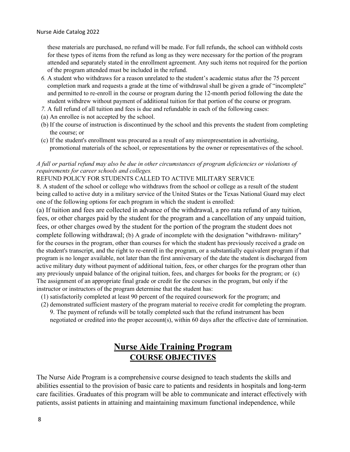these materials are purchased, no refund will be made. For full refunds, the school can withhold costs for these types of items from the refund as long as they were necessary for the portion of the program attended and separately stated in the enrollment agreement. Any such items not required for the portion of the program attended must be included in the refund.

- *6.* A student who withdraws for a reason unrelated to the student's academic status after the 75 percent completion mark and requests a grade at the time of withdrawal shall be given a grade of "incomplete" and permitted to re-enroll in the course or program during the 12-month period following the date the student withdrew without payment of additional tuition for that portion of the course or program.
- *7.* A full refund of all tuition and fees is due and refundable in each of the following cases:
- (a) An enrollee is not accepted by the school.
- (b) If the course of instruction is discontinued by the school and this prevents the student from completing the course; or
- (c) If the student's enrollment was procured as a result of any misrepresentation in advertising, promotional materials of the school, or representations by the owner or representatives of the school.

#### *A full or partial refund may also be due in other circumstances of program deficiencies or violations of requirements for career schools and colleges.*

REFUND POLICY FOR STUDENTS CALLED TO ACTIVE MILITARY SERVICE

8. A student of the school or college who withdraws from the school or college as a result of the student being called to active duty in a military service of the United States or the Texas National Guard may elect one of the following options for each program in which the student is enrolled:

(a) If tuition and fees are collected in advance of the withdrawal, a pro rata refund of any tuition, fees, or other charges paid by the student for the program and a cancellation of any unpaid tuition, fees, or other charges owed by the student for the portion of the program the student does not complete following withdrawal; (b) A grade of incomplete with the designation "withdrawn- military" for the courses in the program, other than courses for which the student has previously received a grade on the student's transcript, and the right to re-enroll in the program, or a substantially equivalent program if that program is no longer available, not later than the first anniversary of the date the student is discharged from active military duty without payment of additional tuition, fees, or other charges for the program other than any previously unpaid balance of the original tuition, fees, and charges for books for the program; or (c) The assignment of an appropriate final grade or credit for the courses in the program, but only if the instructor or instructors of the program determine that the student has:

- (1) satisfactorily completed at least 90 percent of the required coursework for the program; and
- (2) demonstrated sufficient mastery of the program material to receive credit for completing the program. 9. The payment of refunds will be totally completed such that the refund instrument has been negotiated or credited into the proper account(s), within 60 days after the effective date of termination.

## **Nurse Aide Training Program COURSE OBJECTIVES**

The Nurse Aide Program is a comprehensive course designed to teach students the skills and abilities essential to the provision of basic care to patients and residents in hospitals and long-term care facilities. Graduates of this program will be able to communicate and interact effectively with patients, assist patients in attaining and maintaining maximum functional independence, while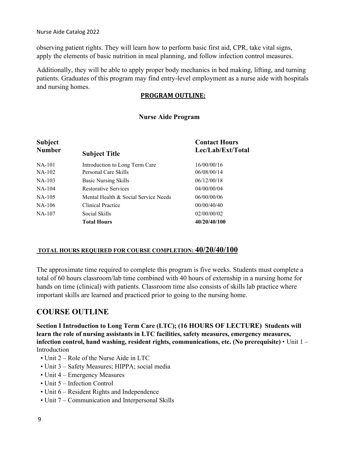observing patient rights. They will learn how to perform basic first aid, CPR, take vital signs, apply the elements of basic nutrition in meal planning, and follow infection control measures.

Additionally, they will be able to apply proper body mechanics in bed making, lifting, and turning patients. Graduates of this program may find entry-level employment as a nurse aide with hospitals and nursing homes.

### **PROGRAM OUTLINE:**

### **Nurse Aide Program**

| <b>Subject</b> |                                      | <b>Contact Hours</b> |  |
|----------------|--------------------------------------|----------------------|--|
| <b>Number</b>  | <b>Subject Title</b>                 | Lec/Lab/Ext/Total    |  |
| $NA-101$       | Introduction to Long Term Care       | 16/00/00/16          |  |
| $NA-102$       | Personal Care Skills                 | 06/08/00/14          |  |
| $NA-103$       | <b>Basic Nursing Skills</b>          | 06/12/00/18          |  |
| $NA-104$       | <b>Restorative Services</b>          | 04/00/00/04          |  |
| $NA-105$       | Mental Health & Social Service Needs | 06/00/00/06          |  |
| $NA-106$       | Clinical Practice                    | 00/00/40/40          |  |
| $NA-107$       | Social Skills                        | 02/00/00/02          |  |
|                | <b>Total Hours</b>                   | 40/20/40/100         |  |

### **TOTAL HOURS REQUIRED FOR COURSE COMPLETION: 40/20/40/100**

The approximate time required to complete this program is five weeks. Students must complete a total of 60 hours classroom/lab time combined with 40 hours of externship in a nursing home for hands on time (clinical) with patients. Classroom time also consists of skills lab practice where important skills are learned and practiced prior to going to the nursing home.

### **COURSE OUTLINE**

**Section I Introduction to Long Term Care (LTC); (16 HOURS OF LECTURE) Students will learn the role of nursing assistants in LTC facilities, safety measures, emergency measures, infection control, hand washing, resident rights, communications, etc. (No prerequisite)** • Unit 1 – Introduction

- Unit 2 Role of the Nurse Aide in LTC
- Unit 3 Safety Measures; HIPPA; social media
- Unit 4 Emergency Measures
- Unit 5 Infection Control
- Unit 6 Resident Rights and Independence
- Unit 7 Communication and Interpersonal Skills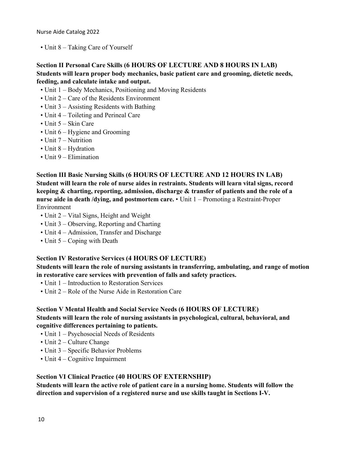• Unit 8 – Taking Care of Yourself

### **Section II Personal Care Skills (6 HOURS OF LECTURE AND 8 HOURS IN LAB) Students will learn proper body mechanics, basic patient care and grooming, dietetic needs, feeding, and calculate intake and output.**

- Unit 1 Body Mechanics, Positioning and Moving Residents
- Unit 2 Care of the Residents Environment
- Unit 3 Assisting Residents with Bathing
- Unit 4 Toileting and Perineal Care
- Unit 5 Skin Care
- Unit 6 Hygiene and Grooming
- Unit 7 Nutrition
- Unit 8 Hydration
- Unit 9 Elimination

### **Section III Basic Nursing Skills (6 HOURS OF LECTURE AND 12 HOURS IN LAB) Student will learn the role of nurse aides in restraints. Students will learn vital signs, record keeping & charting, reporting, admission, discharge & transfer of patients and the role of a nurse aide in death /dying, and postmortem care.** • Unit 1 – Promoting a Restraint-Proper Environment

- Unit 2 Vital Signs, Height and Weight
- Unit 3 Observing, Reporting and Charting
- Unit 4 Admission, Transfer and Discharge
- Unit 5 Coping with Death

#### **Section IV Restorative Services (4 HOURS OF LECTURE)**

**Students will learn the role of nursing assistants in transferring, ambulating, and range of motion in restorative care services with prevention of falls and safety practices.** 

- Unit 1 Introduction to Restoration Services
- Unit 2 Role of the Nurse Aide in Restoration Care

#### **Section V Mental Health and Social Service Needs (6 HOURS OF LECTURE) Students will learn the role of nursing assistants in psychological, cultural, behavioral, and cognitive differences pertaining to patients.**

- Unit 1 Psychosocial Needs of Residents
- Unit 2 Culture Change
- Unit 3 Specific Behavior Problems
- Unit 4 Cognitive Impairment

### **Section VI Clinical Practice (40 HOURS OF EXTERNSHIP)**

**Students will learn the active role of patient care in a nursing home. Students will follow the direction and supervision of a registered nurse and use skills taught in Sections I-V.**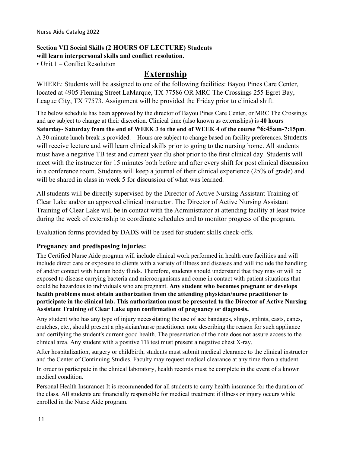# **Section VII Social Skills (2 HOURS OF LECTURE) Students**

### **will learn interpersonal skills and conflict resolution.**

• Unit 1 – Conflict Resolution

### **Externship**

WHERE: Students will be assigned to one of the following facilities: Bayou Pines Care Center, located at 4905 Fleming Street LaMarque, TX 77586 OR MRC The Crossings 255 Egret Bay, League City, TX 77573. Assignment will be provided the Friday prior to clinical shift.

The below schedule has been approved by the director of Bayou Pines Care Center, or MRC The Crossings and are subject to change at their discretion. Clinical time (also known as externships) is **40 hours Saturday- Saturday from the end of WEEK 3 to the end of WEEK 4 of the course \*6:45am-7:15pm**. A 30-minute lunch break is provided. Hours are subject to change based on facility preferences. Students will receive lecture and will learn clinical skills prior to going to the nursing home. All students must have a negative TB test and current year flu shot prior to the first clinical day. Students will meet with the instructor for 15 minutes both before and after every shift for post clinical discussion in a conference room. Students will keep a journal of their clinical experience (25% of grade) and will be shared in class in week 5 for discussion of what was learned.

All students will be directly supervised by the Director of Active Nursing Assistant Training of Clear Lake and/or an approved clinical instructor. The Director of Active Nursing Assistant Training of Clear Lake will be in contact with the Administrator at attending facility at least twice during the week of externship to coordinate schedules and to monitor progress of the program.

Evaluation forms provided by DADS will be used for student skills check-offs.

### **Pregnancy and predisposing injuries:**

The Certified Nurse Aide program will include clinical work performed in health care facilities and will include direct care or exposure to clients with a variety of illness and diseases and will include the handling of and/or contact with human body fluids. Therefore, students should understand that they may or will be exposed to disease carrying bacteria and microorganisms and come in contact with patient situations that could be hazardous to individuals who are pregnant. **Any student who becomes pregnant or develops health problems must obtain authorization from the attending physician/nurse practitioner to participate in the clinical lab. This authorization must be presented to the Director of Active Nursing Assistant Training of Clear Lake upon confirmation of pregnancy or diagnosis.** 

Any student who has any type of injury necessitating the use of ace bandages, slings, splints, casts, canes, crutches, etc., should present a physician/nurse practitioner note describing the reason for such appliance and certifying the student's current good health. The presentation of the note does not assure access to the clinical area. Any student with a positive TB test must present a negative chest X-ray.

After hospitalization, surgery or childbirth, students must submit medical clearance to the clinical instructor and the Center of Continuing Studies. Faculty may request medical clearance at any time from a student.

In order to participate in the clinical laboratory, health records must be complete in the event of a known medical condition.

Personal Health Insurance**:** It is recommended for all students to carry health insurance for the duration of the class. All students are financially responsible for medical treatment if illness or injury occurs while enrolled in the Nurse Aide program.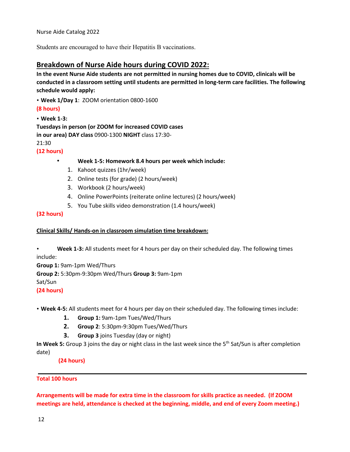Students are encouraged to have their Hepatitis B vaccinations.

### **Breakdown of Nurse Aide hours during COVID 2022:**

**In the event Nurse Aide students are not permitted in nursing homes due to COVID, clinicals will be conducted in a classroom setting until students are permitted in long-term care facilities. The following schedule would apply:**

• **Week 1/Day 1**: ZOOM orientation 0800-1600

#### **(8 hours)**

• **Week 1-3: Tuesdays in person (or ZOOM for increased COVID cases in our area) DAY class** 0900-1300 **NIGHT** class 17:30- 21:30

**(12 hours)** 

- **Week 1-5: Homework 8.4 hours per week which include:** 
	- 1. Kahoot quizzes (1hr/week)
	- 2. Online tests (for grade) (2 hours/week)
	- 3. Workbook (2 hours/week)
	- 4. Online PowerPoints (reiterate online lectures) (2 hours/week)
	- 5. You Tube skills video demonstration (1.4 hours/week)

#### **(32 hours)**

#### **Clinical Skills/ Hands-on in classroom simulation time breakdown:**

• **Week 1-3:** All students meet for 4 hours per day on their scheduled day. The following times include:

**Group 1:** 9am-1pm Wed/Thurs **Group 2:** 5:30pm-9:30pm Wed/Thurs **Group 3:** 9am-1pm Sat/Sun **(24 hours)** 

• **Week 4-5:** All students meet for 4 hours per day on their scheduled day. The following times include:

- **1. Group 1:** 9am-1pm Tues/Wed/Thurs
- **2. Group 2**: 5:30pm-9:30pm Tues/Wed/Thurs
- **3. Group 3** joins Tuesday (day or night)

In Week 5: Group 3 joins the day or night class in the last week since the 5<sup>th</sup> Sat/Sun is after completion date)

**(24 hours)**

#### **Total 100 hours**

**Arrangements will be made for extra time in the classroom for skills practice as needed. (If ZOOM meetings are held, attendance is checked at the beginning, middle, and end of every Zoom meeting.)**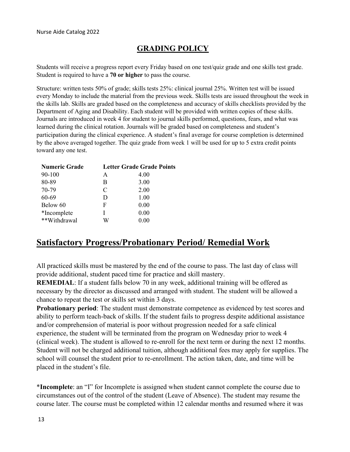### **GRADING POLICY**

Students will receive a progress report every Friday based on one test/quiz grade and one skills test grade. Student is required to have a **70 or higher** to pass the course.

Structure: written tests 50% of grade; skills tests 25%: clinical journal 25%. Written test will be issued every Monday to include the material from the previous week. Skills tests are issued throughout the week in the skills lab. Skills are graded based on the completeness and accuracy of skills checklists provided by the Department of Aging and Disability. Each student will be provided with written copies of these skills. Journals are introduced in week 4 for student to journal skills performed, questions, fears, and what was learned during the clinical rotation. Journals will be graded based on completeness and student's participation during the clinical experience. A student's final average for course completion is determined by the above averaged together. The quiz grade from week 1 will be used for up to 5 extra credit points toward any one test.

| <b>Numeric Grade</b> |   | <b>Letter Grade Grade Points</b> |
|----------------------|---|----------------------------------|
| 90-100               | A | 4.00                             |
| 80-89                | В | 3.00                             |
| 70-79                | C | 2.00                             |
| 60-69                | D | 1.00                             |
| Below 60             | F | 0.00                             |
| *Incomplete          | L | 0.00                             |
| **Withdrawal         | W | 0.00                             |

### **Satisfactory Progress/Probationary Period/ Remedial Work**

All practiced skills must be mastered by the end of the course to pass. The last day of class will provide additional, student paced time for practice and skill mastery.

**REMEDIAL**: If a student falls below 70 in any week, additional training will be offered as necessary by the director as discussed and arranged with student. The student will be allowed a chance to repeat the test or skills set within 3 days.

**Probationary period:** The student must demonstrate competence as evidenced by test scores and ability to perform teach-back of skills. If the student fails to progress despite additional assistance and/or comprehension of material is poor without progression needed for a safe clinical experience, the student will be terminated from the program on Wednesday prior to week 4 (clinical week). The student is allowed to re-enroll for the next term or during the next 12 months. Student will not be charged additional tuition, although additional fees may apply for supplies. The school will counsel the student prior to re-enrollment. The action taken, date, and time will be placed in the student's file.

\***Incomplete**: an "I" for Incomplete is assigned when student cannot complete the course due to circumstances out of the control of the student (Leave of Absence). The student may resume the course later. The course must be completed within 12 calendar months and resumed where it was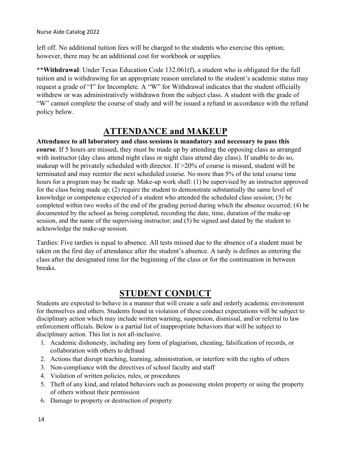left off. No additional tuition fees will be charged to the students who exercise this option; however, there may be an additional cost for workbook or supplies.

**\*\*Withdrawal**: Under Texas Education Code 132.061(f), a student who is obligated for the full tuition and is withdrawing for an appropriate reason unrelated to the student's academic status may request a grade of "I" for Incomplete. A "W" for Withdrawal indicates that the student officially withdrew or was administratively withdrawn from the subject class. A student with the grade of "W" cannot complete the course of study and will be issued a refund in accordance with the refund policy below.

### **ATTENDANCE and MAKEUP**

**Attendance to all laboratory and class sessions is mandatory and necessary to pass this course**. If 5 hours are missed, they must be made up by attending the opposing class as arranged with instructor (day class attend night class or night class attend day class). If unable to do so, makeup will be privately scheduled with director. If  $>20\%$  of course is missed, student will be terminated and may reenter the next scheduled course. No more than 5% of the total course time hours for a program may be made up. Make-up work shall: (1) be supervised by an instructor approved for the class being made up; (2) require the student to demonstrate substantially the same level of knowledge or competence expected of a student who attended the scheduled class session; (3) be completed within two weeks of the end of the grading period during which the absence occurred; (4) be documented by the school as being completed, recording the date, time, duration of the make-up session, and the name of the supervising instructor; and (5) be signed and dated by the student to acknowledge the make-up session.

Tardies: Five tardies is equal to absence. All tests missed due to the absence of a student must be taken on the first day of attendance after the student's absence. A tardy is defines as entering the class after the designated time for the beginning of the class or for the continuation in between breaks.

### **STUDENT CONDUCT**

Students are expected to behave in a manner that will create a safe and orderly academic environment for themselves and others. Students found in violation of these conduct expectations will be subject to disciplinary action which may include written warning, suspension, dismissal, and/or referral to law enforcement officials. Below is a partial list of inappropriate behaviors that will be subject to disciplinary action. This list is not all-inclusive.

- 1. Academic dishonesty, including any form of plagiarism, cheating, falsification of records, or collaboration with others to defraud
- 2. Actions that disrupt teaching, learning, administration, or interfere with the rights of others
- 3. Non-compliance with the directives of school faculty and staff
- 4. Violation of written policies, rules, or procedures
- 5. Theft of any kind, and related behaviors such as possessing stolen property or using the property of others without their permission
- 6. Damage to property or destruction of property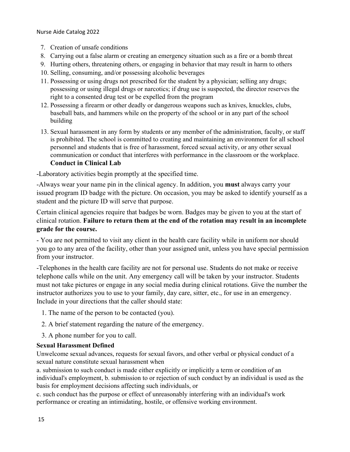- 7. Creation of unsafe conditions
- 8. Carrying out a false alarm or creating an emergency situation such as a fire or a bomb threat
- 9. Hurting others, threatening others, or engaging in behavior that may result in harm to others
- 10. Selling, consuming, and/or possessing alcoholic beverages
- 11. Possessing or using drugs not prescribed for the student by a physician; selling any drugs; possessing or using illegal drugs or narcotics; if drug use is suspected, the director reserves the right to a consented drug test or be expelled from the program
- 12. Possessing a firearm or other deadly or dangerous weapons such as knives, knuckles, clubs, baseball bats, and hammers while on the property of the school or in any part of the school building
- 13. Sexual harassment in any form by students or any member of the administration, faculty, or staff is prohibited. The school is committed to creating and maintaining an environment for all school personnel and students that is free of harassment, forced sexual activity, or any other sexual communication or conduct that interferes with performance in the classroom or the workplace. **Conduct in Clinical Lab**

-Laboratory activities begin promptly at the specified time.

-Always wear your name pin in the clinical agency. In addition, you **must** always carry your issued program ID badge with the picture. On occasion, you may be asked to identify yourself as a student and the picture ID will serve that purpose.

Certain clinical agencies require that badges be worn. Badges may be given to you at the start of clinical rotation. **Failure to return them at the end of the rotation may result in an incomplete grade for the course.** 

- You are not permitted to visit any client in the health care facility while in uniform nor should you go to any area of the facility, other than your assigned unit, unless you have special permission from your instructor.

-Telephones in the health care facility are not for personal use. Students do not make or receive telephone calls while on the unit. Any emergency call will be taken by your instructor. Students must not take pictures or engage in any social media during clinical rotations. Give the number the instructor authorizes you to use to your family, day care, sitter, etc., for use in an emergency. Include in your directions that the caller should state:

- 1. The name of the person to be contacted (you).
- 2. A brief statement regarding the nature of the emergency.
- 3. A phone number for you to call.

#### **Sexual Harassment Defined**

Unwelcome sexual advances, requests for sexual favors, and other verbal or physical conduct of a sexual nature constitute sexual harassment when

a. submission to such conduct is made either explicitly or implicitly a term or condition of an individual's employment, b. submission to or rejection of such conduct by an individual is used as the basis for employment decisions affecting such individuals, or

c. such conduct has the purpose or effect of unreasonably interfering with an individual's work performance or creating an intimidating, hostile, or offensive working environment.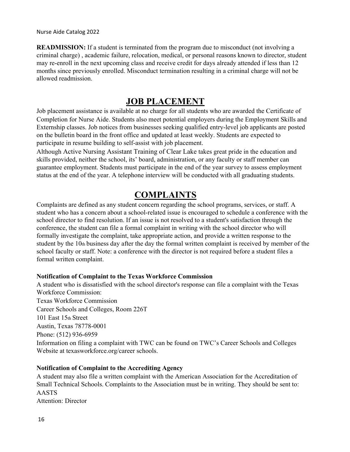**READMISSION:** If a student is terminated from the program due to misconduct (not involving a criminal charge) , academic failure, relocation, medical, or personal reasons known to director, student may re-enroll in the next upcoming class and receive credit for days already attended if less than 12 months since previously enrolled. Misconduct termination resulting in a criminal charge will not be allowed readmission.

### **JOB PLACEMENT**

Job placement assistance is available at no charge for all students who are awarded the Certificate of Completion for Nurse Aide. Students also meet potential employers during the Employment Skills and Externship classes. Job notices from businesses seeking qualified entry-level job applicants are posted on the bulletin board in the front office and updated at least weekly. Students are expected to participate in resume building to self-assist with job placement.

Although Active Nursing Assistant Training of Clear Lake takes great pride in the education and skills provided, neither the school, its' board, administration, or any faculty or staff member can guarantee employment. Students must participate in the end of the year survey to assess employment status at the end of the year. A telephone interview will be conducted with all graduating students.

### **COMPLAINTS**

Complaints are defined as any student concern regarding the school programs, services, or staff. A student who has a concern about a school-related issue is encouraged to schedule a conference with the school director to find resolution. If an issue is not resolved to a student's satisfaction through the conference, the student can file a formal complaint in writing with the school director who will formally investigate the complaint, take appropriate action, and provide a written response to the student by the  $10<sub>th</sub>$  business day after the day the formal written complaint is received by member of the school faculty or staff. Note: a conference with the director is not required before a student files a formal written complaint.

#### **Notification of Complaint to the Texas Workforce Commission**

A student who is dissatisfied with the school director's response can file a complaint with the Texas Workforce Commission: Texas Workforce Commission Career Schools and Colleges, Room 226T 101 East 15th Street Austin, Texas 78778-0001 Phone: (512) 936-6959 Information on filing a complaint with TWC can be found on TWC's Career Schools and Colleges Website at texasworkforce.org/career schools.

#### **Notification of Complaint to the Accrediting Agency**

A student may also file a written complaint with the American Association for the Accreditation of Small Technical Schools. Complaints to the Association must be in writing. They should be sent to: AASTS Attention: Director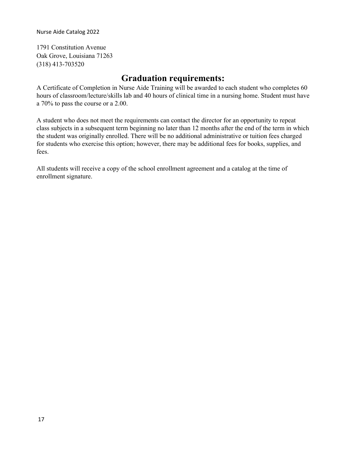1791 Constitution Avenue Oak Grove, Louisiana 71263 (318) 413-703520

### **Graduation requirements:**

A Certificate of Completion in Nurse Aide Training will be awarded to each student who completes 60 hours of classroom/lecture/skills lab and 40 hours of clinical time in a nursing home. Student must have a 70% to pass the course or a 2.00.

A student who does not meet the requirements can contact the director for an opportunity to repeat class subjects in a subsequent term beginning no later than 12 months after the end of the term in which the student was originally enrolled. There will be no additional administrative or tuition fees charged for students who exercise this option; however, there may be additional fees for books, supplies, and fees.

All students will receive a copy of the school enrollment agreement and a catalog at the time of enrollment signature.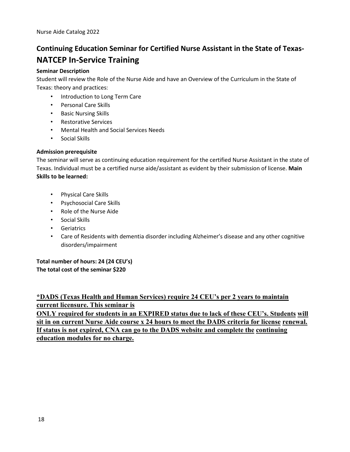# **Continuing Education Seminar for Certified Nurse Assistant in the State of Texas-NATCEP In-Service Training**

#### **Seminar Description**

Student will review the Role of the Nurse Aide and have an Overview of the Curriculum in the State of Texas: theory and practices:

- Introduction to Long Term Care
- Personal Care Skills
- Basic Nursing Skills
- Restorative Services
- Mental Health and Social Services Needs
- Social Skills

#### **Admission prerequisite**

The seminar will serve as continuing education requirement for the certified Nurse Assistant in the state of Texas. Individual must be a certified nurse aide/assistant as evident by their submission of license. **Main Skills to be learned:** 

- Physical Care Skills
- Psychosocial Care Skills
- Role of the Nurse Aide
- Social Skills
- Geriatrics
- Care of Residents with dementia disorder including Alzheimer's disease and any other cognitive disorders/impairment

**Total number of hours: 24 (24 CEU's) The total cost of the seminar \$220** 

### **\*DADS (Texas Health and Human Services) require 24 CEU's per 2 years to maintain current licensure. This seminar is**

**ONLY required for students in an EXPIRED status due to lack of these CEU's. Students will sit in on current Nurse Aide course x 24 hours to meet the DADS criteria for license renewal. If status is not expired, CNA can go to the DADS website and complete the continuing education modules for no charge.**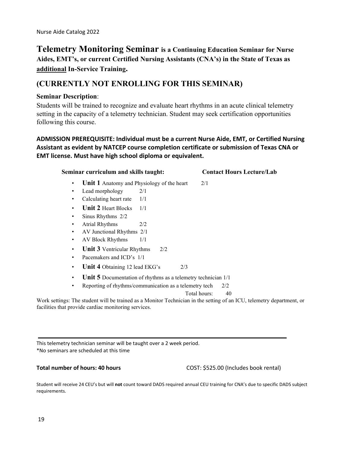### **Telemetry Monitoring Seminar is a Continuing Education Seminar for Nurse Aides, EMT's, or current Certified Nursing Assistants (CNA's) in the State of Texas as additional In-Service Training.**

### **(CURRENTLY NOT ENROLLING FOR THIS SEMINAR)**

#### **Seminar Description**:

Students will be trained to recognize and evaluate heart rhythms in an acute clinical telemetry setting in the capacity of a telemetry technician. Student may seek certification opportunities following this course.

### **ADMISSION PREREQUISITE: Individual must be a current Nurse Aide, EMT, or Certified Nursing Assistant as evident by NATCEP course completion certificate or submission of Texas CNA or EMT license. Must have high school diploma or equivalent.**

### **Seminar curriculum and skills taught: Contact Hours Lecture/Lab Unit 1** Anatomy and Physiology of the heart 2/1 • Lead morphology 2/1 Calculating heart rate 1/1 • **Unit 2** Heart Blocks 1/1 • Sinus Rhythms 2/2 • Atrial Rhythms 2/2 • AV Junctional Rhythms 2/1 • AV Block Rhythms 1/1 • **Unit 3** Ventricular Rhythms 2/2 • Pacemakers and ICD's 1/1 • **Unit 4** Obtaining 12 lead EKG's 2/3 • **Unit 5** Documentation of rhythms as a telemetry technician 1/1 • Reporting of rhythms/communication as a telemetry tech 2/2

Total hours: 40

Work settings: The student will be trained as a Monitor Technician in the setting of an ICU, telemetry department, or facilities that provide cardiac monitoring services.

This telemetry technician seminar will be taught over a 2 week period. \*No seminars are scheduled at this time

**Total number of hours: 40 hours** COST: \$525.00 (Includes book rental)

Student will receive 24 CEU's but will **not** count toward DADS required annual CEU training for CNA's due to specific DADS subject requirements.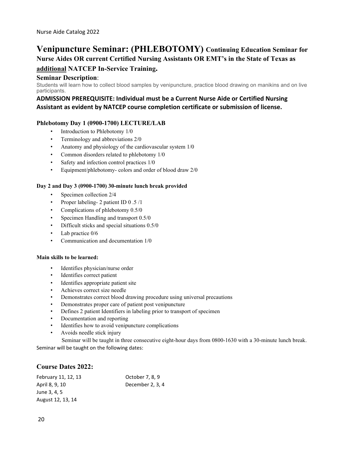### **Venipuncture Seminar: (PHLEBOTOMY) Continuing Education Seminar for Nurse Aides OR current Certified Nursing Assistants OR EMT's in the State of Texas as**

### **additional NATCEP In-Service Training.**

#### **Seminar Description**:

Students will learn how to collect blood samples by venipuncture, practice blood drawing on manikins and on live participants.

#### **ADMISSION PREREQUISITE: Individual must be a Current Nurse Aide or Certified Nursing Assistant as evident by NATCEP course completion certificate or submission of license.**

#### **Phlebotomy Day 1 (0900-1700) LECTURE/LAB**

- Introduction to Phlebotomy 1/0
- Terminology and abbreviations 2/0
- Anatomy and physiology of the cardiovascular system 1/0
- Common disorders related to phlebotomy 1/0
- Safety and infection control practices  $1/0$
- Equipment/phlebotomy- colors and order of blood draw 2/0

#### **Day 2 and Day 3 (0900-1700) 30-minute lunch break provided**

- Specimen collection  $2/4$
- Proper labeling- 2 patient ID 0 .5 /1
- Complications of phlebotomy 0.5/0
- Specimen Handling and transport 0.5/0
- Difficult sticks and special situations 0.5/0
- Lab practice 0/6
- Communication and documentation 1/0

#### **Main skills to be learned:**

- Identifies physician/nurse order
- Identifies correct patient
- Identifies appropriate patient site
- Achieves correct size needle
- Demonstrates correct blood drawing procedure using universal precautions
- Demonstrates proper care of patient post venipuncture
- Defines 2 patient Identifiers in labeling prior to transport of specimen
- Documentation and reporting
- Identifies how to avoid venipuncture complications
- Avoids needle stick injury

Seminar will be taught in three consecutive eight-hour days from 0800-1630 with a 30-minute lunch break. Seminar will be taught on the following dates:

#### **Course Dates 2022:**

| February 11, 12, 13 | October 7, 8, 9  |
|---------------------|------------------|
| April 8, 9, 10      | December 2, 3, 4 |
| June 3, 4, 5        |                  |
| August 12, 13, 14   |                  |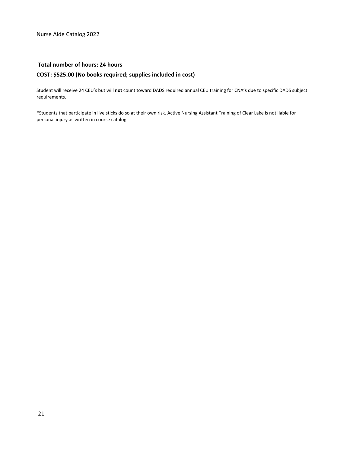#### **Total number of hours: 24 hours**

#### **COST: \$525.00 (No books required; supplies included in cost)**

Student will receive 24 CEU's but will **not** count toward DADS required annual CEU training for CNA's due to specific DADS subject requirements.

\*Students that participate in live sticks do so at their own risk. Active Nursing Assistant Training of Clear Lake is not liable for personal injury as written in course catalog.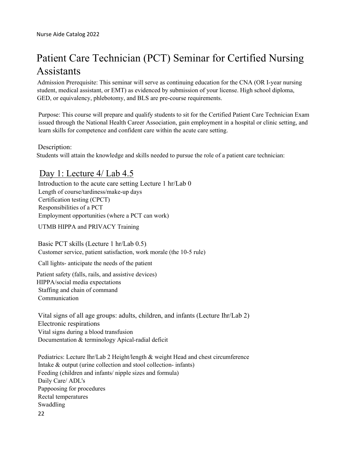# Patient Care Technician (PCT) Seminar for Certified Nursing Assistants

Admission Prerequisite: This seminar will serve as continuing education for the CNA (OR I-year nursing student, medical assistant, or EMT) as evidenced by submission of your license. High school diploma, GED, or equivalency, phlebotomy, and BLS are pre-course requirements.

Purpose: This course will prepare and qualify students to sit for the Certified Patient Care Technician Exam issued through the National Health Career Association, gain employment in a hospital or clinic setting, and learn skills for competence and confident care within the acute care setting.

Description:

Students will attain the knowledge and skills needed to pursue the role of a patient care technician:

### Day 1: Lecture  $4/\text{Lab } 4.5$

Introduction to the acute care setting Lecture 1 hr/Lab 0 Length of course/tardiness/make-up days Certification testing (CPCT) Responsibilities of a PCT Employment opportunities (where a PCT can work)

UTMB HIPPA and PRIVACY Training

Basic PCT skills (Lecture 1 hr/Lab 0.5) Customer service, patient satisfaction, work morale (the 10-5 rule)

Call lights- anticipate the needs of the patient

Patient safety (falls, rails, and assistive devices) HIPPA/social media expectations Staffing and chain of command Communication

Vital signs of all age groups: adults, children, and infants (Lecture Ihr/Lab 2) Electronic respirations Vital signs during a blood transfusion Documentation & terminology Apical-radial deficit

22 Pediatrics: Lecture Ihr/Lab 2 Height/length & weight Head and chest circumference Intake & output (urine collection and stool collection- infants) Feeding (children and infants/ nipple sizes and formula) Daily Care/ ADL's Pappoosing for procedures Rectal temperatures Swaddling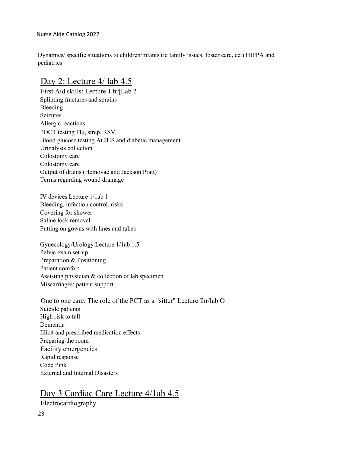Dynamics/ specific situations to children/infants (ie family issues, foster care, ect) HIPPA and pediatrics

### Day 2: Lecture  $4/$  lab  $4.5$

First Aid skills: Lecture 1 hr[Lab 2 Splinting fractures and sprains Bleeding Seizures Allergic reactions POCT testing Flu, strep, RSV Blood glucose testing AC/HS and diabetic management Urinalysis collection Colostomy care Colostomy care Output of drains (Hemovac and Jackson Pratt) Terms regarding wound drainage

IV devices Lecture 1/1ab 1 Bleeding, infection control, risks Covering for shower Saline lock removal Putting on gowns with lines and tubes

Gynecology/Urology Lecture 1/1ab 1.5 Pelvic exam set-up Preparation & Positioning Patient comfort Assisting physician & collection of lab specimen Miscarriages: patient support

One to one care: The role of the PCT as a "sitter" Lecture Ihr/lab O Suicide patients High risk to fall Dementia Illicit and prescribed medication effects Preparing the room Facility emergencies Rapid response Code Pink External and Internal Disasters

### Day 3 Cardiac Care Lecture 4/1ab 4.5

Electrocardiography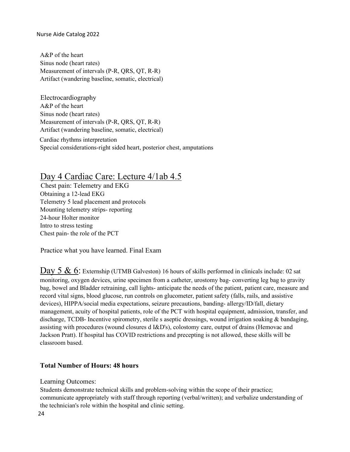A&P of the heart Sinus node (heart rates) Measurement of intervals (P-R, QRS, QT, R-R) Artifact (wandering baseline, somatic, electrical)

Electrocardiography A&P of the heart Sinus node (heart rates) Measurement of intervals (P-R, QRS, QT, R-R) Artifact (wandering baseline, somatic, electrical)

 Cardiac rhythms interpretation Special considerations-right sided heart, posterior chest, amputations

### Day 4 Cardiac Care: Lecture 4/1ab 4.5

Chest pain: Telemetry and EKG Obtaining a 12-lead EKG Telemetry 5 lead placement and protocols Mounting telemetry strips- reporting 24-hour Holter monitor Intro to stress testing Chest pain- the role of the PCT

Practice what you have learned. Final Exam

Day 5 & 6: Externship (UTMB Galveston) 16 hours of skills performed in clinicals include: 02 sat monitoring, oxygen devices, urine specimen from a catheter, urostomy bag- converting leg bag to gravity bag, bowel and Bladder retraining, call lights- anticipate the needs of the patient, patient care, measure and record vital signs, blood glucose, run controls on glucometer, patient safety (falls, rails, and assistive devices), HIPPA/social media expectations, seizure precautions, banding- allergy/ID/fall, dietary management, acuity of hospital patients, role of the PCT with hospital equipment, admission, transfer, and discharge, TCDB- Incentive spirometry, sterile s aseptic dressings, wound irrigation soaking & bandaging, assisting with procedures (wound closures d I&D's), colostomy care, output of drains (Hemovac and Jackson Pratt). If hospital has COVID restrictions and precepting is not allowed, these skills will be classroom based.

### **Total Number of Hours: 48 hours**

Learning Outcomes:

Students demonstrate technical skills and problem-solving within the scope of their practice; communicate appropriately with staff through reporting (verbal/written); and verbalize understanding of the technician's role within the hospital and clinic setting.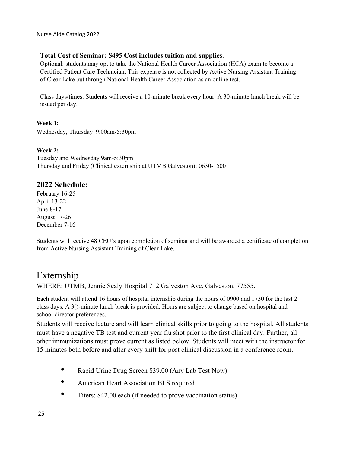#### **Total Cost of Seminar: \$495 Cost includes tuition and supplies**.

Optional: students may opt to take the National Health Career Association (HCA) exam to become a Certified Patient Care Technician. This expense is not collected by Active Nursing Assistant Training of Clear Lake but through National Health Career Association as an online test.

Class days/times: Students will receive a 10-minute break every hour. A 30-minute lunch break will be issued per day.

**Week 1:** Wednesday, Thursday 9:00am-5:30pm

#### **Week 2:**

Tuesday and Wednesday 9am-5:30pm Thursday and Friday (Clinical externship at UTMB Galveston): 0630-1500

### **2022 Schedule:**

February 16-25 April 13-22 June 8-17 August 17-26 December 7-16

Students will receive 48 CEU's upon completion of seminar and will be awarded a certificate of completion from Active Nursing Assistant Training of Clear Lake.

### Externship

WHERE: UTMB, Jennie Sealy Hospital 712 Galveston Ave, Galveston, 77555.

Each student will attend 16 hours of hospital internship during the hours of 0900 and 1730 for the last 2 class days. A 3()-minute lunch break is provided. Hours are subject to change based on hospital and school director preferences.

Students will receive lecture and will learn clinical skills prior to going to the hospital. All students must have a negative TB test and current year flu shot prior to the first clinical day. Further, all other immunizations must prove current as listed below. Students will meet with the instructor for 15 minutes both before and after every shift for post clinical discussion in a conference room.

- Rapid Urine Drug Screen \$39.00 (Any Lab Test Now)
- American Heart Association BLS required
- Titers: \$42.00 each (if needed to prove vaccination status)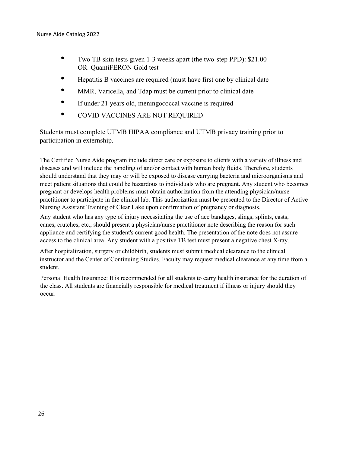- Two TB skin tests given 1-3 weeks apart (the two-step PPD): \$21.00 OR QuantiFERON Gold test
- Hepatitis B vaccines are required (must have first one by clinical date
- MMR, Varicella, and Tdap must be current prior to clinical date
- If under 21 years old, meningococcal vaccine is required
- COVID VACCINES ARE NOT REQUIRED

Students must complete UTMB HIPAA compliance and UTMB privacy training prior to participation in externship.

The Certified Nurse Aide program include direct care or exposure to clients with a variety of illness and diseases and will include the handling of and/or contact with human body fluids. Therefore, students should understand that they may or will be exposed to disease carrying bacteria and microorganisms and meet patient situations that could be hazardous to individuals who are pregnant. Any student who becomes pregnant or develops health problems must obtain authorization from the attending physician/nurse practitioner to participate in the clinical lab. This authorization must be presented to the Director of Active Nursing Assistant Training of Clear Lake upon confirmation of pregnancy or diagnosis.

Any student who has any type of injury necessitating the use of ace bandages, slings, splints, casts, canes, crutches, etc., should present a physician/nurse practitioner note describing the reason for such appliance and certifying the student's current good health. The presentation of the note does not assure access to the clinical area. Any student with a positive TB test must present a negative chest X-ray.

After hospitalization, surgery or childbirth, students must submit medical clearance to the clinical instructor and the Center of Continuing Studies. Faculty may request medical clearance at any time from a student.

Personal Health Insurance: It is recommended for all students to carry health insurance for the duration of the class. All students are financially responsible for medical treatment if illness or injury should they occur.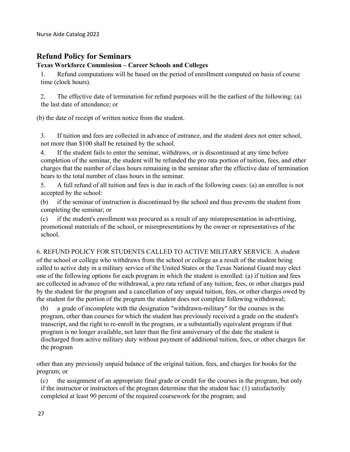### **Refund Policy for Seminars**

#### **Texas Workforce Commission – Career Schools and Colleges**

1. Refund computations will be based on the period of enrollment computed on basis of course time (clock hours).

2. The effective date of termination for refund purposes will be the earliest of the following: (a) the last date of attendance; or

(b) the date of receipt of written notice from the student.

3. If tuition and fees are collected in advance of entrance, and the student does not enter school, not more than \$100 shall be retained by the school.

4. If the student fails to enter the seminar, withdraws, or is discontinued at any time before completion of the seminar, the student will be refunded the pro rata portion of tuition, fees, and other charges that the number of class hours remaining in the seminar after the effective date of termination bears to the total number of class hours in the seminar.

5. A full refund of all tuition and fees is due in each of the following cases: (a) an enrollee is not accepted by the school:

(b) if the seminar of instruction is discontinued by the school and thus prevents the student from completing the seminar; or

(c) if the student's enrollment was procured as a result of any misrepresentation in advertising, promotional materials of the school, or misrepresentations by the owner or representatives of the school.

6. REFUND POLICY FOR STUDENTS CALLED TO ACTIVE MILITARY SERVICE. A student of the school or college who withdraws from the school or college as a result of the student being called to active duty in a military service of the United States or the Texas National Guard may elect one of the following options for each program in which the student is enrolled: (a) if tuition and fees are collected in advance of the withdrawal, a pro rata refund of any tuition, fees, or other charges paid by the student for the program and a cancellation of any unpaid tuition, fees, or other charges owed by the student for the portion of the program the student does not complete following withdrawal;

(b) a grade of incomplete with the designation "withdrawn-military" for the courses in the program, other than courses for which the student has previously received a grade on the student's transcript, and the right to re-enroll in the program, or a substantially equivalent program if that program is no longer available, not later than the first anniversary of the date the student is discharged from active military duty without payment of additional tuition, fees, or other charges for the program

other than any previously unpaid balance of the original tuition, fees, and charges for books for the program; or

(c) the assignment of an appropriate final grade or credit for the courses in the program, but only if the instructor or instructors of the program determine that the student has: (1) satisfactorily completed at least 90 percent of the required coursework for the program; and